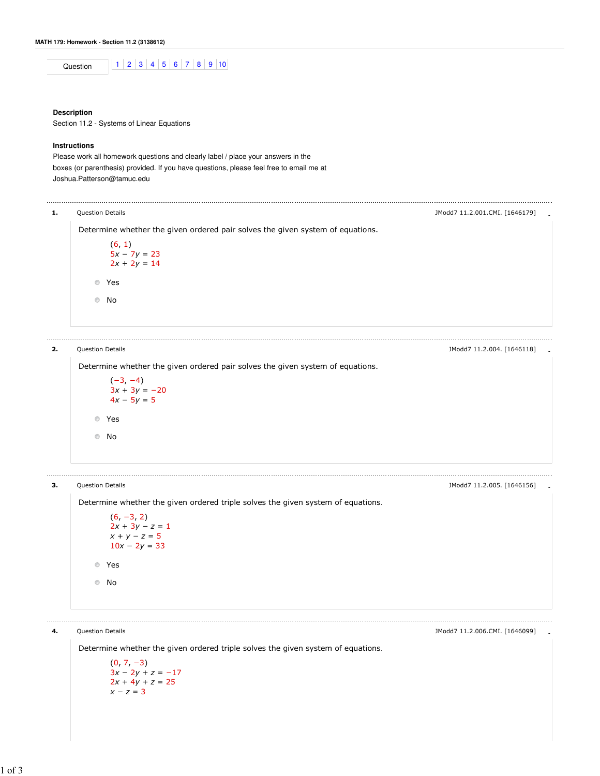Question 1 2 3 4 5 6 7 8 9 10

### **Description**

Section 11.2 - Systems of Linear Equations

## **Instructions**

Please work all homework questions and clearly label / place your answers in the boxes (or parenthesis) provided. If you have questions, please feel free to email me at Joshua.Patterson@tamuc.edu

# 1. Question Details - JModd7 11.2.001.CMI. [1646179]

Determine whether the given ordered pair solves the given system of equations.

```
(6, 1)5x - 7y = 232x + 2y = 14Yes
No
```
2. Question Details - JModd7 11.2.004. [1646118]

 $\circledcirc$ 

Determine whether the given ordered pair solves the given system of equations.

$$
(-3, -4)
$$
  
\n
$$
3x + 3y = -20
$$
  
\n
$$
4x - 5y = 5
$$
  
\n8  
\n8  
\n8  
\n8  
\n8  
\n8  
\n8  
\n9  
\n10

# 

---------------------------

**3.** Question Details **Alternative Control** Control of the Security of the Security of the Modd7 11.2.005. [1646156]

Determine whether the given ordered triple solves the given system of equations.

 $(6, -3, 2)$  $2x + 3y - z = 1$  $x + y - z = 5$  $10x - 2y = 33$ Yes No

Determine whether the given ordered triple solves the given system of equations.

4. Question Details - JModd7 11.2.006.CMI. [1646099]

 $(0, 7, -3)$  $3x - 2y + z = -17$  $2x + 4y + z = 25$  $x - z = 3$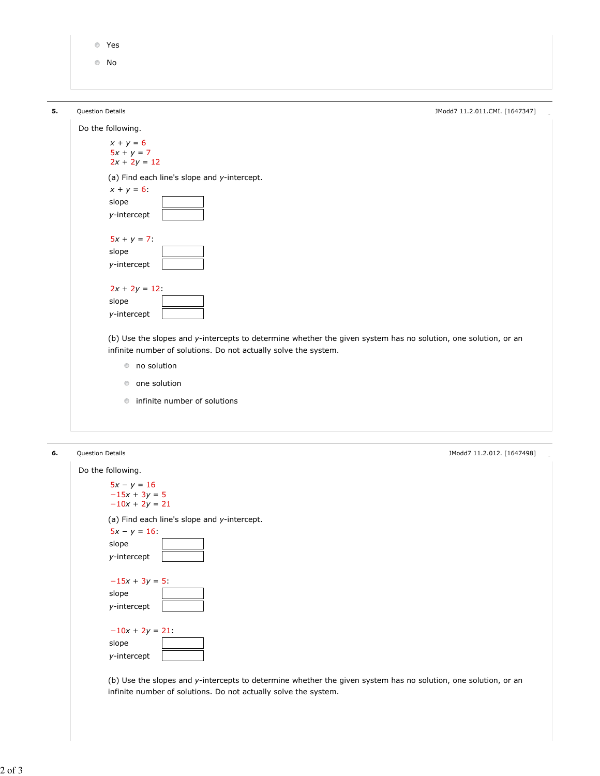Yes

No

y-intercept

 $-15x + 3y = 5$ :

 $-10x + 2y = 21$ :

slope y-intercept

slope y-intercept

| 5. | Question Details                                                                                               | JModd7 11.2.011.CMI. [1647347] |
|----|----------------------------------------------------------------------------------------------------------------|--------------------------------|
|    | Do the following.                                                                                              |                                |
|    | $x + y = 6$                                                                                                    |                                |
|    | $5x + y = 7$<br>$2x + 2y = 12$                                                                                 |                                |
|    |                                                                                                                |                                |
|    | (a) Find each line's slope and y-intercept.                                                                    |                                |
|    | $x + y = 6$ :                                                                                                  |                                |
|    | slope                                                                                                          |                                |
|    | y-intercept                                                                                                    |                                |
|    | $5x + y = 7$                                                                                                   |                                |
|    | slope                                                                                                          |                                |
|    | y-intercept                                                                                                    |                                |
|    |                                                                                                                |                                |
|    | $2x + 2y = 12$ :                                                                                               |                                |
|    | slope                                                                                                          |                                |
|    | y-intercept                                                                                                    |                                |
|    |                                                                                                                |                                |
|    | (b) Use the slopes and y-intercepts to determine whether the given system has no solution, one solution, or an |                                |
|    | infinite number of solutions. Do not actually solve the system.                                                |                                |
|    | to solution                                                                                                    |                                |
|    | <b>O</b> one solution                                                                                          |                                |
|    |                                                                                                                |                                |
|    | <b>n</b> infinite number of solutions                                                                          |                                |
|    |                                                                                                                |                                |
|    | Question Details                                                                                               | JModd7 11.2.012. [1647498]     |
|    | Do the following.                                                                                              |                                |
|    | $5x - y = 16$                                                                                                  |                                |
|    | $-15x + 3y = 5$                                                                                                |                                |
|    | $-10x + 2y = 21$                                                                                               |                                |
|    | (a) Find each line's slope and y-intercept.                                                                    |                                |
|    | $5x - y = 16$                                                                                                  |                                |
|    | slope                                                                                                          |                                |

(b) Use the slopes and y-intercepts to determine whether the given system has no solution, one solution, or an infinite number of solutions. Do not actually solve the system.